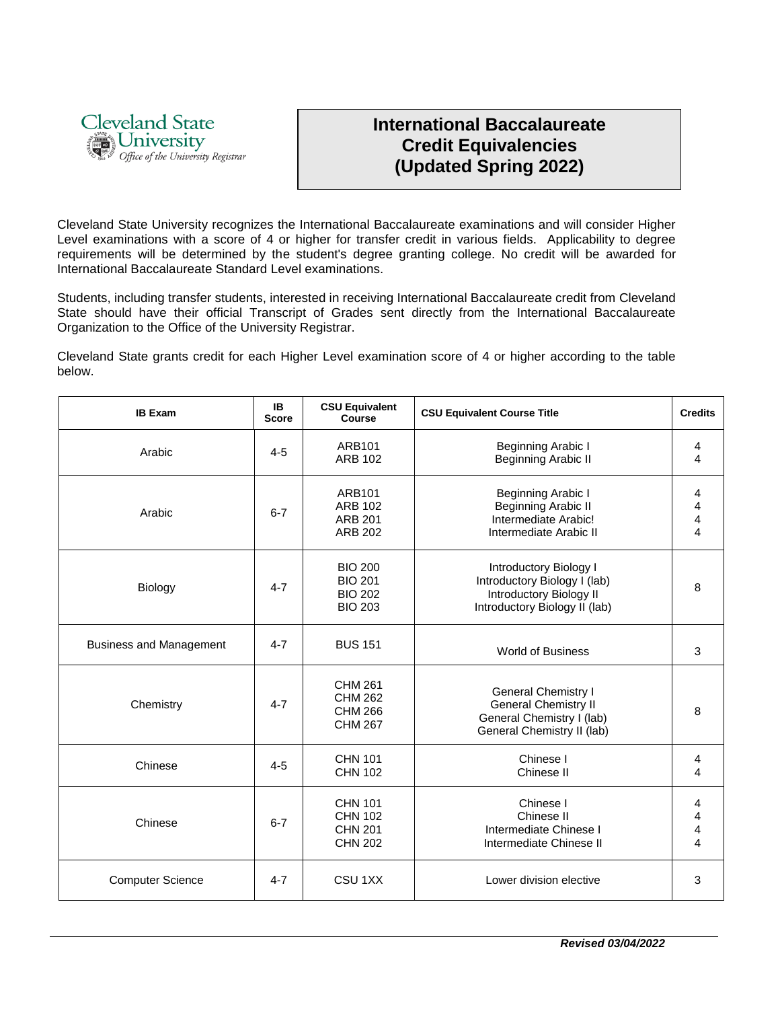

## **International Baccalaureate Credit Equivalencies (Updated Spring 2022)**

Cleveland State University recognizes the International Baccalaureate examinations and will consider Higher Level examinations with a score of 4 or higher for transfer credit in various fields. Applicability to degree requirements will be determined by the student's degree granting college. No credit will be awarded for International Baccalaureate Standard Level examinations.

Students, including transfer students, interested in receiving International Baccalaureate credit from Cleveland State should have their official Transcript of Grades sent directly from the International Baccalaureate Organization to the Office of the University Registrar.

Cleveland State grants credit for each Higher Level examination score of 4 or higher according to the table below.

| <b>IB Exam</b>                 | IB.<br><b>Score</b> | <b>CSU Equivalent</b><br><b>Course</b>                               | <b>CSU Equivalent Course Title</b>                                                                                   | <b>Credits</b> |
|--------------------------------|---------------------|----------------------------------------------------------------------|----------------------------------------------------------------------------------------------------------------------|----------------|
| Arabic                         | $4 - 5$             | ARB101<br><b>ARB 102</b>                                             | Beginning Arabic I<br><b>Beginning Arabic II</b>                                                                     | 4<br>4         |
| Arabic                         | $6 - 7$             | ARB101<br><b>ARB 102</b><br><b>ARB 201</b><br><b>ARB 202</b>         | Beginning Arabic I<br>Beginning Arabic II<br>Intermediate Arabic!<br>Intermediate Arabic II                          | 4<br>4<br>4    |
| Biology                        | $4 - 7$             | <b>BIO 200</b><br><b>BIO 201</b><br><b>BIO 202</b><br><b>BIO 203</b> | Introductory Biology I<br>Introductory Biology I (lab)<br>Introductory Biology II<br>Introductory Biology II (lab)   | 8              |
| <b>Business and Management</b> | $4 - 7$             | <b>BUS 151</b>                                                       | <b>World of Business</b>                                                                                             | 3              |
| Chemistry                      | $4 - 7$             | <b>CHM 261</b><br><b>CHM 262</b><br><b>CHM 266</b><br><b>CHM 267</b> | <b>General Chemistry I</b><br><b>General Chemistry II</b><br>General Chemistry I (lab)<br>General Chemistry II (lab) | 8              |
| Chinese                        | $4 - 5$             | <b>CHN 101</b><br><b>CHN 102</b>                                     | Chinese I<br>Chinese II                                                                                              | 4<br>4         |
| Chinese                        | $6 - 7$             | <b>CHN 101</b><br><b>CHN 102</b><br><b>CHN 201</b><br><b>CHN 202</b> | Chinese I<br>Chinese II<br>Intermediate Chinese I<br>Intermediate Chinese II                                         | 4<br>4<br>4    |
| <b>Computer Science</b>        | $4 - 7$             | CSU <sub>1XX</sub>                                                   | Lower division elective                                                                                              | 3              |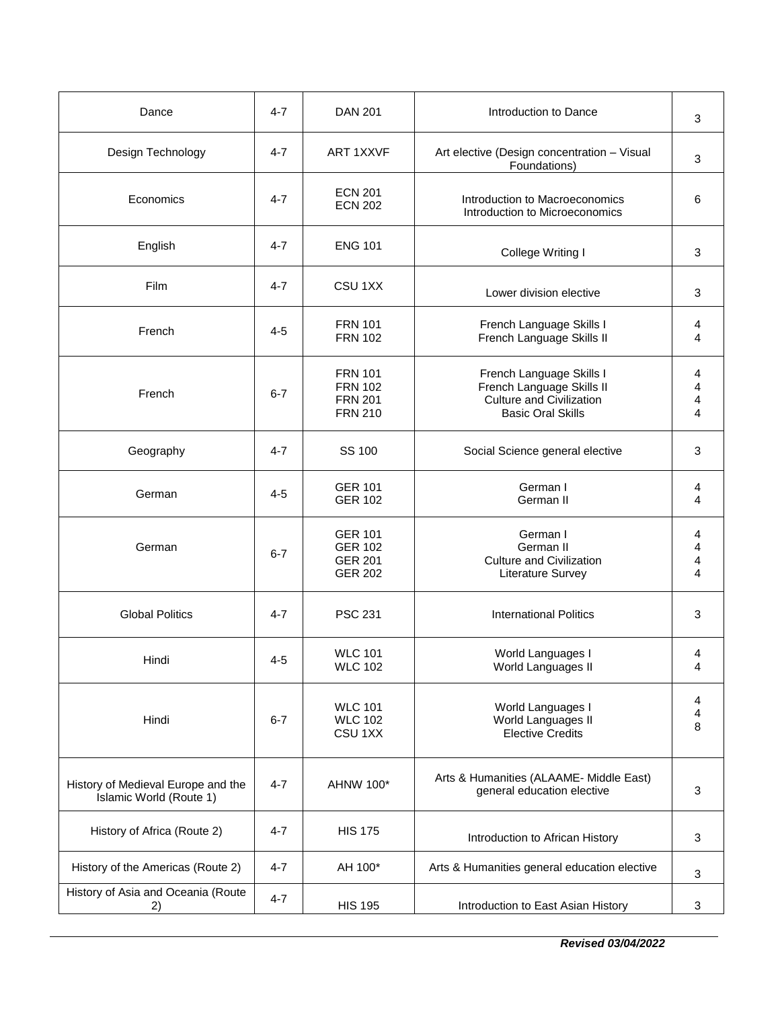| Dance                                                         | $4 - 7$ | <b>DAN 201</b>                                                       | Introduction to Dance                                                                                                | 3                |
|---------------------------------------------------------------|---------|----------------------------------------------------------------------|----------------------------------------------------------------------------------------------------------------------|------------------|
| Design Technology                                             | $4 - 7$ | <b>ART 1XXVF</b>                                                     | Art elective (Design concentration - Visual<br>Foundations)                                                          | 3                |
| Economics                                                     | 4-7     | <b>ECN 201</b><br><b>ECN 202</b>                                     | Introduction to Macroeconomics<br>Introduction to Microeconomics                                                     | 6                |
| English                                                       | $4 - 7$ | <b>ENG 101</b>                                                       | College Writing I                                                                                                    | 3                |
| Film                                                          | $4 - 7$ | CSU <sub>1XX</sub>                                                   | Lower division elective                                                                                              | 3                |
| French                                                        | $4 - 5$ | <b>FRN 101</b><br><b>FRN 102</b>                                     | French Language Skills I<br>French Language Skills II                                                                | 4<br>4           |
| French                                                        | $6 - 7$ | <b>FRN 101</b><br><b>FRN 102</b><br><b>FRN 201</b><br><b>FRN 210</b> | French Language Skills I<br>French Language Skills II<br><b>Culture and Civilization</b><br><b>Basic Oral Skills</b> | 4<br>4<br>4<br>4 |
| Geography                                                     | $4 - 7$ | SS 100                                                               | Social Science general elective                                                                                      | 3                |
| German                                                        | $4 - 5$ | <b>GER 101</b><br><b>GER 102</b>                                     | German I<br>German II                                                                                                | 4<br>4           |
| German                                                        | $6 - 7$ | <b>GER 101</b><br><b>GER 102</b><br><b>GER 201</b><br><b>GER 202</b> | German I<br>German II<br><b>Culture and Civilization</b><br>Literature Survey                                        | 4<br>4<br>4<br>4 |
| <b>Global Politics</b>                                        | $4 - 7$ | <b>PSC 231</b>                                                       | <b>International Politics</b>                                                                                        | 3                |
| Hindi                                                         | $4 - 5$ | <b>WLC 101</b><br>WLC 102                                            | World Languages I<br>World Languages II                                                                              | 4<br>4           |
| Hindi                                                         | $6 - 7$ | <b>WLC 101</b><br><b>WLC 102</b><br>CSU <sub>1XX</sub>               | World Languages I<br>World Languages II<br><b>Elective Credits</b>                                                   | 4<br>4<br>8      |
| History of Medieval Europe and the<br>Islamic World (Route 1) | $4 - 7$ | AHNW 100*                                                            | Arts & Humanities (ALAAME- Middle East)<br>general education elective                                                | 3                |
| History of Africa (Route 2)                                   | $4 - 7$ | <b>HIS 175</b>                                                       | Introduction to African History                                                                                      | 3                |
| History of the Americas (Route 2)                             | $4 - 7$ | AH 100*                                                              | Arts & Humanities general education elective                                                                         | 3                |
| History of Asia and Oceania (Route<br>2)                      | $4 - 7$ | <b>HIS 195</b>                                                       | Introduction to East Asian History                                                                                   | 3                |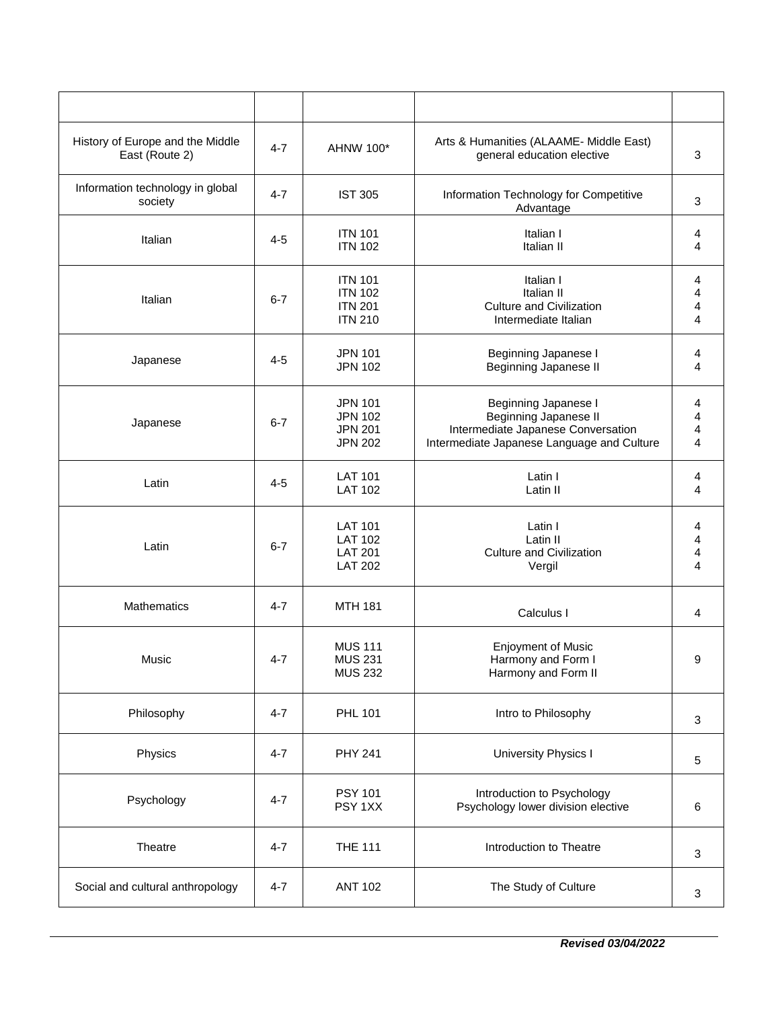| History of Europe and the Middle<br>East (Route 2) | $4 - 7$ | AHNW 100*                                                            | Arts & Humanities (ALAAME- Middle East)<br>general education elective                                                                    | 3                             |
|----------------------------------------------------|---------|----------------------------------------------------------------------|------------------------------------------------------------------------------------------------------------------------------------------|-------------------------------|
| Information technology in global<br>society        | $4 - 7$ | <b>IST 305</b>                                                       | Information Technology for Competitive<br>Advantage                                                                                      | 3                             |
| Italian                                            | $4 - 5$ | <b>ITN 101</b><br><b>ITN 102</b>                                     | Italian I<br>Italian II                                                                                                                  | 4<br>4                        |
| Italian                                            | $6 - 7$ | <b>ITN 101</b><br><b>ITN 102</b><br><b>ITN 201</b><br><b>ITN 210</b> | Italian I<br>Italian II<br><b>Culture and Civilization</b><br>Intermediate Italian                                                       | 4<br>4<br>4<br>4              |
| Japanese                                           | $4 - 5$ | <b>JPN 101</b><br><b>JPN 102</b>                                     | Beginning Japanese I<br>Beginning Japanese II                                                                                            | 4<br>4                        |
| Japanese                                           | $6 - 7$ | <b>JPN 101</b><br><b>JPN 102</b><br><b>JPN 201</b><br><b>JPN 202</b> | Beginning Japanese I<br><b>Beginning Japanese II</b><br>Intermediate Japanese Conversation<br>Intermediate Japanese Language and Culture | 4<br>4<br>4<br>$\overline{4}$ |
| Latin                                              | 4-5     | <b>LAT 101</b><br><b>LAT 102</b>                                     | Latin I<br>Latin II                                                                                                                      | 4<br>4                        |
| Latin                                              | $6 - 7$ | <b>LAT 101</b><br><b>LAT 102</b><br><b>LAT 201</b><br><b>LAT 202</b> | Latin I<br>Latin II<br><b>Culture and Civilization</b><br>Vergil                                                                         | 4<br>4<br>4<br>4              |
| <b>Mathematics</b>                                 | $4 - 7$ | <b>MTH 181</b>                                                       | Calculus I                                                                                                                               | 4                             |
| Music                                              | $4 - 7$ | <b>MUS 111</b><br><b>MUS 231</b><br><b>MUS 232</b>                   | <b>Enjoyment of Music</b><br>Harmony and Form I<br>Harmony and Form II                                                                   | 9                             |
| Philosophy                                         | $4 - 7$ | <b>PHL 101</b>                                                       | Intro to Philosophy                                                                                                                      | 3                             |
| Physics                                            | $4 - 7$ | <b>PHY 241</b>                                                       | University Physics I                                                                                                                     | 5                             |
| Psychology                                         | $4 - 7$ | <b>PSY 101</b><br>PSY 1XX                                            | Introduction to Psychology<br>Psychology lower division elective                                                                         | 6                             |
| Theatre                                            | $4 - 7$ | <b>THE 111</b>                                                       | Introduction to Theatre                                                                                                                  | 3                             |
| Social and cultural anthropology                   | $4 - 7$ | <b>ANT 102</b>                                                       | The Study of Culture                                                                                                                     | 3                             |